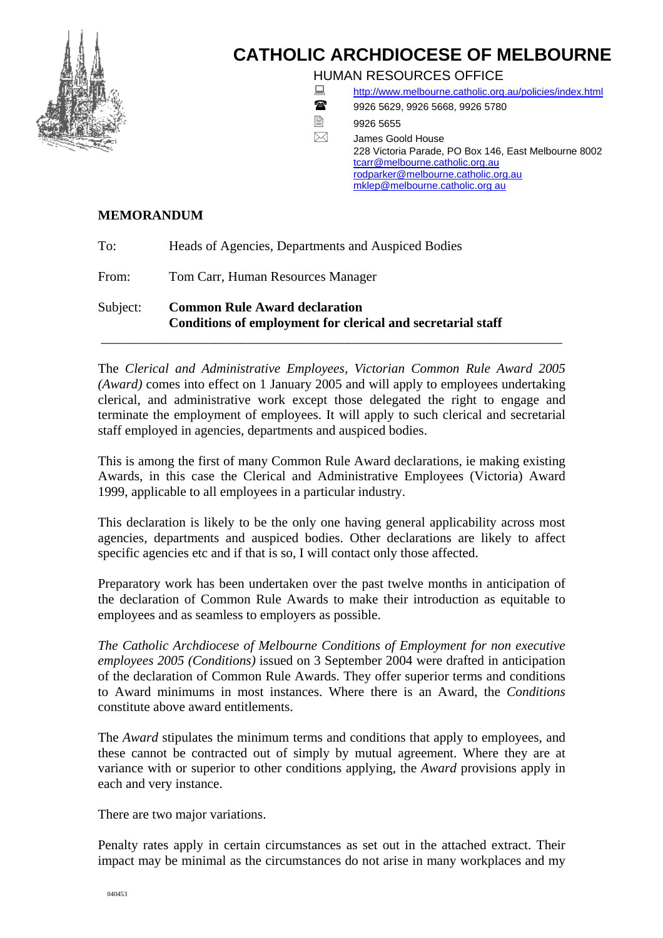

# **CATHOLIC ARCHDIOCESE OF MELBOURNE**

HUMAN RESOURCES OFFICE

- <http://www.melbourne.catholic.org.au/policies/index.html>
- 18 9926 5629, 9926 5668, 9926 5780
- $\Box$ 9926 5655
- $\boxtimes$  James Goold House 228 Victoria Parade, PO Box 146, East Melbourne 8002 [tcarr@melbourne.catholic.org.au](mailto:tcarr@melbourne.catholic.org.au) [rodparker@melbourne.catholic.org.au](mailto:rodparker@melbourne.catholic.org.au) [mklep@melbourne.catholic.org au](mailto:mklep@melbourne.catholic.com.au)

# **MEMORANDUM**

To: Heads of Agencies, Departments and Auspiced Bodies

From: Tom Carr, Human Resources Manager

Subject: **Common Rule Award declaration Conditions of employment for clerical and secretarial staff** 

The *Clerical and Administrative Employees, Victorian Common Rule Award 2005 (Award)* comes into effect on 1 January 2005 and will apply to employees undertaking clerical, and administrative work except those delegated the right to engage and terminate the employment of employees. It will apply to such clerical and secretarial staff employed in agencies, departments and auspiced bodies.

\_\_\_\_\_\_\_\_\_\_\_\_\_\_\_\_\_\_\_\_\_\_\_\_\_\_\_\_\_\_\_\_\_\_\_\_\_\_\_\_\_\_\_\_\_\_\_\_\_\_\_\_\_\_\_\_\_\_\_\_\_\_\_\_\_\_\_\_\_

This is among the first of many Common Rule Award declarations, ie making existing Awards, in this case the Clerical and Administrative Employees (Victoria) Award 1999, applicable to all employees in a particular industry.

This declaration is likely to be the only one having general applicability across most agencies, departments and auspiced bodies. Other declarations are likely to affect specific agencies etc and if that is so, I will contact only those affected.

Preparatory work has been undertaken over the past twelve months in anticipation of the declaration of Common Rule Awards to make their introduction as equitable to employees and as seamless to employers as possible.

*The Catholic Archdiocese of Melbourne Conditions of Employment for non executive employees 2005 (Conditions)* issued on 3 September 2004 were drafted in anticipation of the declaration of Common Rule Awards. They offer superior terms and conditions to Award minimums in most instances. Where there is an Award, the *Conditions* constitute above award entitlements.

The *Award* stipulates the minimum terms and conditions that apply to employees, and these cannot be contracted out of simply by mutual agreement. Where they are at variance with or superior to other conditions applying, the *Award* provisions apply in each and very instance.

There are two major variations.

Penalty rates apply in certain circumstances as set out in the attached extract. Their impact may be minimal as the circumstances do not arise in many workplaces and my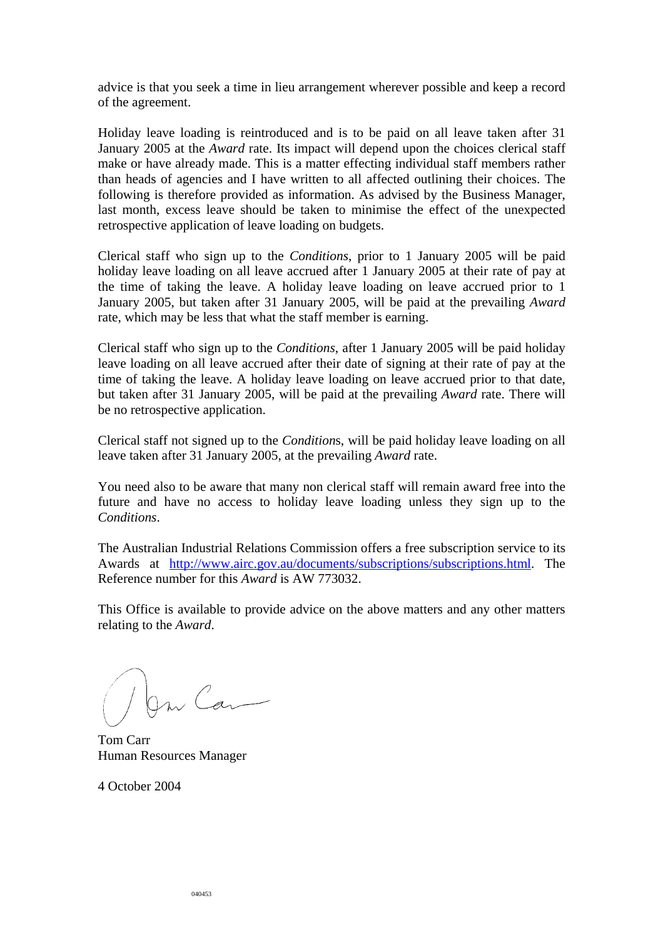advice is that you seek a time in lieu arrangement wherever possible and keep a record of the agreement.

Holiday leave loading is reintroduced and is to be paid on all leave taken after 31 January 2005 at the *Award* rate. Its impact will depend upon the choices clerical staff make or have already made. This is a matter effecting individual staff members rather than heads of agencies and I have written to all affected outlining their choices. The following is therefore provided as information. As advised by the Business Manager, last month, excess leave should be taken to minimise the effect of the unexpected retrospective application of leave loading on budgets.

Clerical staff who sign up to the *Conditions*, prior to 1 January 2005 will be paid holiday leave loading on all leave accrued after 1 January 2005 at their rate of pay at the time of taking the leave. A holiday leave loading on leave accrued prior to 1 January 2005, but taken after 31 January 2005, will be paid at the prevailing *Award*  rate, which may be less that what the staff member is earning.

Clerical staff who sign up to the *Conditions*, after 1 January 2005 will be paid holiday leave loading on all leave accrued after their date of signing at their rate of pay at the time of taking the leave. A holiday leave loading on leave accrued prior to that date, but taken after 31 January 2005, will be paid at the prevailing *Award* rate. There will be no retrospective application.

Clerical staff not signed up to the *Condition*s, will be paid holiday leave loading on all leave taken after 31 January 2005, at the prevailing *Award* rate.

You need also to be aware that many non clerical staff will remain award free into the future and have no access to holiday leave loading unless they sign up to the *Conditions*.

The Australian Industrial Relations Commission offers a free subscription service to its Awards at [http://www.airc.gov.au/documents/subscriptions/subscriptions.html.](http://www.airc.gov.au/documents/subscriptions/subscriptions.html) The Reference number for this *Award* is AW 773032.

This Office is available to provide advice on the above matters and any other matters relating to the *Award*.

an Can

Tom Carr Human Resources Manager

4 October 2004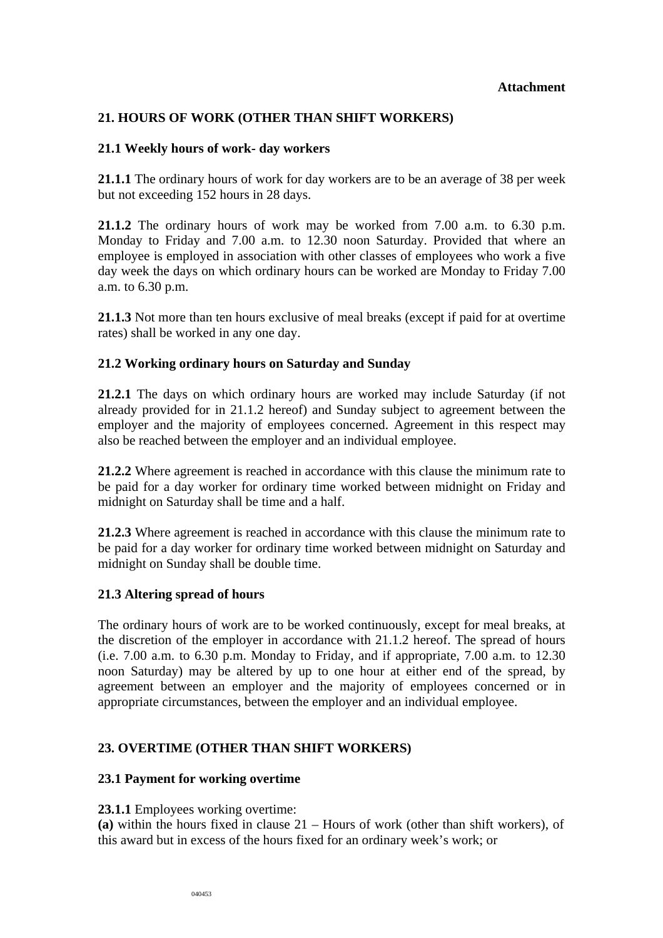## **Attachment**

# **21. HOURS OF WORK (OTHER THAN SHIFT WORKERS)**

## **21.1 Weekly hours of work- day workers**

**21.1.1** The ordinary hours of work for day workers are to be an average of 38 per week but not exceeding 152 hours in 28 days.

**21.1.2** The ordinary hours of work may be worked from 7.00 a.m. to 6.30 p.m. Monday to Friday and 7.00 a.m. to 12.30 noon Saturday. Provided that where an employee is employed in association with other classes of employees who work a five day week the days on which ordinary hours can be worked are Monday to Friday 7.00 a.m. to 6.30 p.m.

**21.1.3** Not more than ten hours exclusive of meal breaks (except if paid for at overtime rates) shall be worked in any one day.

# **21.2 Working ordinary hours on Saturday and Sunday**

**21.2.1** The days on which ordinary hours are worked may include Saturday (if not already provided for in 21.1.2 hereof) and Sunday subject to agreement between the employer and the majority of employees concerned. Agreement in this respect may also be reached between the employer and an individual employee.

**21.2.2** Where agreement is reached in accordance with this clause the minimum rate to be paid for a day worker for ordinary time worked between midnight on Friday and midnight on Saturday shall be time and a half.

**21.2.3** Where agreement is reached in accordance with this clause the minimum rate to be paid for a day worker for ordinary time worked between midnight on Saturday and midnight on Sunday shall be double time.

#### **21.3 Altering spread of hours**

The ordinary hours of work are to be worked continuously, except for meal breaks, at the discretion of the employer in accordance with 21.1.2 hereof. The spread of hours (i.e. 7.00 a.m. to 6.30 p.m. Monday to Friday, and if appropriate, 7.00 a.m. to 12.30 noon Saturday) may be altered by up to one hour at either end of the spread, by agreement between an employer and the majority of employees concerned or in appropriate circumstances, between the employer and an individual employee.

# **23. OVERTIME (OTHER THAN SHIFT WORKERS)**

#### **23.1 Payment for working overtime**

**23.1.1** Employees working overtime:

**(a)** within the hours fixed in clause 21 – Hours of work (other than shift workers), of this award but in excess of the hours fixed for an ordinary week's work; or